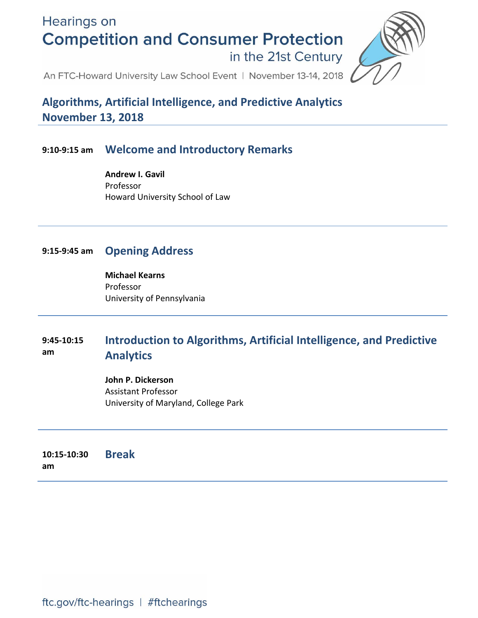**Hearings on Competition and Consumer Protection** in the 21st Century



An FTC-Howard University Law School Event | November 13-14, 2018

**Algorithms, Artificial Intelligence, and Predictive Analytics November 13, 2018**

# **9:10-9:15 am Welcome and Introductory Remarks**

**Andrew I. Gavil** Professor Howard University School of Law

# **9:15-9:45 am Opening Address**

**Michael Kearns** Professor University of Pennsylvania

#### **9:45-10:15 am Introduction to Algorithms, Artificial Intelligence, and Predictive Analytics**

**John P. Dickerson** Assistant Professor University of Maryland, College Park

**10:15-10:30 am Break**

ftc.gov/ftc-hearings | #ftchearings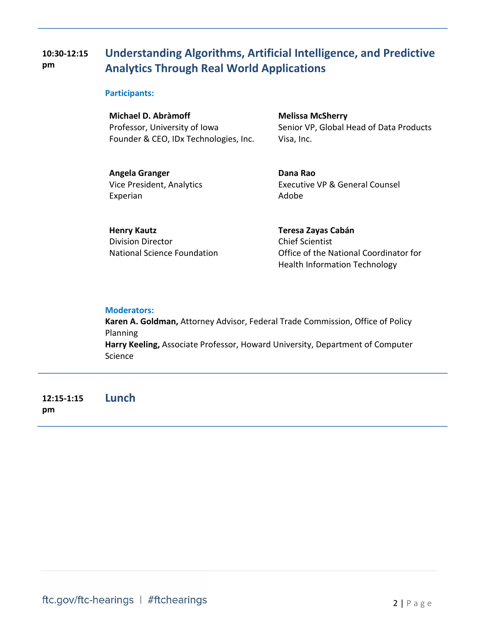#### **10:30-12:15 pm Understanding Algorithms, Artificial Intelligence, and Predictive Analytics Through Real World Applications**

### **Participants:**

**Michael D. Abràmoff** Professor, University of Iowa Founder & CEO, IDx Technologies, Inc.

**Melissa McSherry** Senior VP, Global Head of Data Products Visa, Inc.

**Angela Granger** Vice President, Analytics Experian

**Dana Rao** Executive VP & General Counsel Adobe

**Henry Kautz** Division Director National Science Foundation **Teresa Zayas Cabán** Chief Scientist Office of the National Coordinator for Health Information Technology

### **Moderators:**

**Karen A. Goldman,** Attorney Advisor, Federal Trade Commission, Office of Policy Planning **Harry Keeling,** Associate Professor, Howard University, Department of Computer Science

**12:15-1:15 pm Lunch**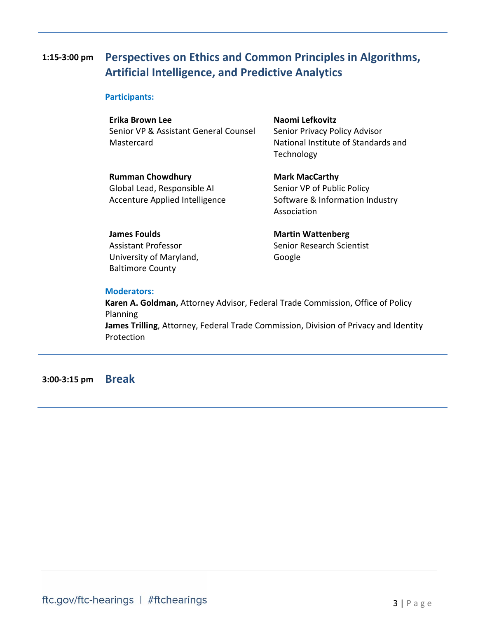# **1:15-3:00 pm Perspectives on Ethics and Common Principles in Algorithms, Artificial Intelligence, and Predictive Analytics**

### **Participants:**

**Erika Brown Lee** Senior VP & Assistant General Counsel **Mastercard** 

**Naomi Lefkovitz** Senior Privacy Policy Advisor National Institute of Standards and Technology

**Rumman Chowdhury** Global Lead, Responsible AI Accenture Applied Intelligence

**Mark MacCarthy** Senior VP of Public Policy Software & Information Industry Association

**James Foulds** Assistant Professor University of Maryland, Baltimore County

**Martin Wattenberg** Senior Research Scientist Google

### **Moderators:**

**Karen A. Goldman,** Attorney Advisor, Federal Trade Commission, Office of Policy Planning **James Trilling**, Attorney, Federal Trade Commission, Division of Privacy and Identity Protection

**3:00-3:15 pm Break**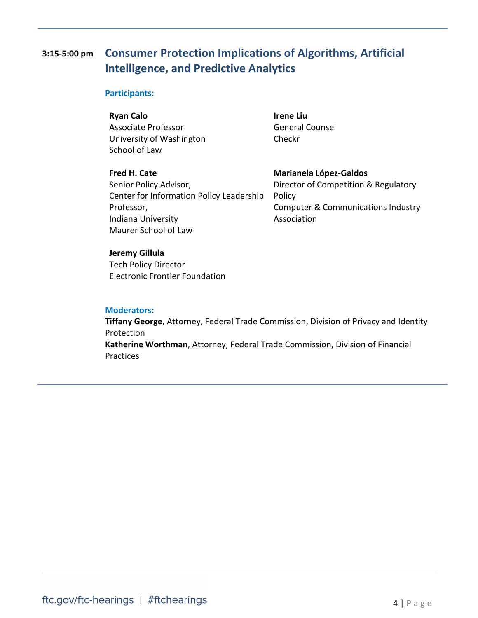# **3:15-5:00 pm Consumer Protection Implications of Algorithms, Artificial Intelligence, and Predictive Analytics**

### **Participants:**

**Ryan Calo**

Associate Professor University of Washington School of Law

**Irene Liu** General Counsel Checkr

**Fred H. Cate** Senior Policy Advisor, Center for Information Policy Leadership Professor, Indiana University Maurer School of Law

**Marianela López-Galdos** Director of Competition & Regulatory Policy Computer & Communications Industry Association

### **Jeremy Gillula**

Tech Policy Director Electronic Frontier Foundation

#### **Moderators:**

**Tiffany George**, Attorney, Federal Trade Commission, Division of Privacy and Identity Protection **Katherine Worthman**, Attorney, Federal Trade Commission, Division of Financial Practices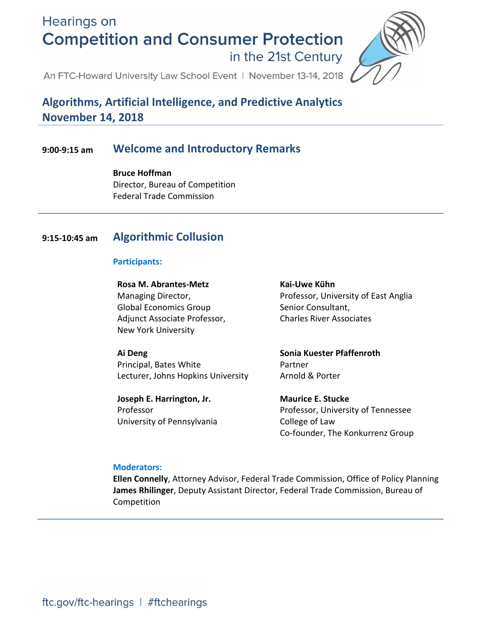**Hearings on Competition and Consumer Protection** in the 21st Century



An FTC-Howard University Law School Event | November 13-14, 2018

# **Algorithms, Artificial Intelligence, and Predictive Analytics November 14, 2018**

# **9:00-9:15 am Welcome and Introductory Remarks**

**Bruce Hoffman** Director, Bureau of Competition Federal Trade Commission

# **9:15-10:45 am Algorithmic Collusion**

## **Participants:**

**Rosa M. Abrantes-Metz** Managing Director, Global Economics Group Adjunct Associate Professor, New York University

**Ai Deng**

Principal, Bates White Lecturer, Johns Hopkins University

**Joseph E. Harrington, Jr.** Professor University of Pennsylvania

# **Kai-Uwe Kühn**

Professor, University of East Anglia Senior Consultant, Charles River Associates

**Sonia Kuester Pfaffenroth** Partner Arnold & Porter

**Maurice E. Stucke** Professor, University of Tennessee College of Law Co-founder, The Konkurrenz Group

### **Moderators:**

**Ellen Connelly**, Attorney Advisor, Federal Trade Commission, Office of Policy Planning **James Rhilinger**, Deputy Assistant Director, Federal Trade Commission, Bureau of Competition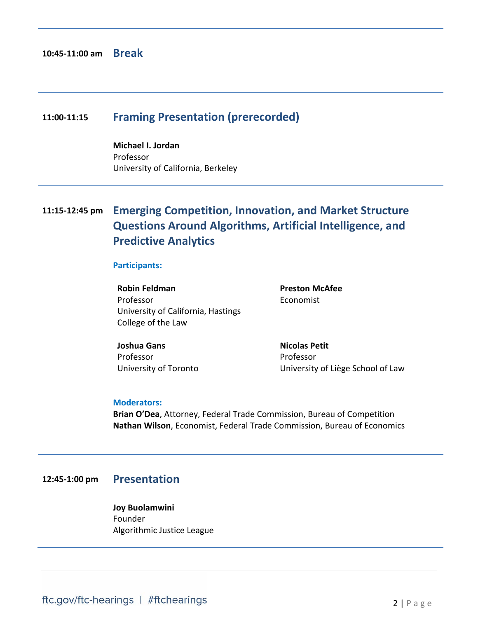# **11:00-11:15 Framing Presentation (prerecorded)**

**Michael I. Jordan** Professor University of California, Berkeley

# **11:15-12:45 pm Emerging Competition, Innovation, and Market Structure Questions Around Algorithms, Artificial Intelligence, and Predictive Analytics**

### **Participants:**

**Robin Feldman** Professor University of California, Hastings College of the Law

**Preston McAfee** Economist

**Joshua Gans** Professor University of Toronto **Nicolas Petit** Professor University of Liège School of Law

#### **Moderators:**

**Brian O'Dea**, Attorney, Federal Trade Commission, Bureau of Competition **Nathan Wilson**, Economist, Federal Trade Commission, Bureau of Economics

# **12:45-1:00 pm Presentation**

**Joy Buolamwini** Founder Algorithmic Justice League

ftc.gov/ftc-hearings | #ftchearings